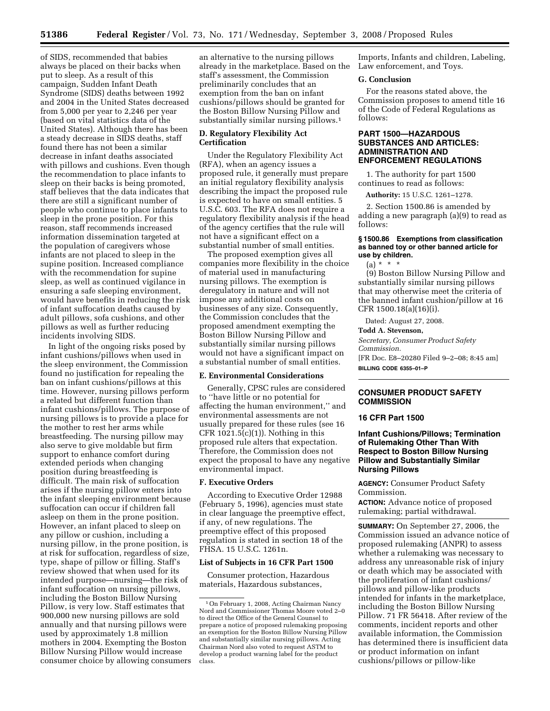of SIDS, recommended that babies always be placed on their backs when put to sleep. As a result of this campaign, Sudden Infant Death Syndrome (SIDS) deaths between 1992 and 2004 in the United States decreased from 5,000 per year to 2,246 per year (based on vital statistics data of the United States). Although there has been a steady decrease in SIDS deaths, staff found there has not been a similar decrease in infant deaths associated with pillows and cushions. Even though the recommendation to place infants to sleep on their backs is being promoted, staff believes that the data indicates that there are still a significant number of people who continue to place infants to sleep in the prone position. For this reason, staff recommends increased information dissemination targeted at the population of caregivers whose infants are not placed to sleep in the supine position. Increased compliance with the recommendation for supine sleep, as well as continued vigilance in ensuring a safe sleeping environment, would have benefits in reducing the risk of infant suffocation deaths caused by adult pillows, sofa cushions, and other pillows as well as further reducing incidents involving SIDS.

In light of the ongoing risks posed by infant cushions/pillows when used in the sleep environment, the Commission found no justification for repealing the ban on infant cushions/pillows at this time. However, nursing pillows perform a related but different function than infant cushions/pillows. The purpose of nursing pillows is to provide a place for the mother to rest her arms while breastfeeding. The nursing pillow may also serve to give moldable but firm support to enhance comfort during extended periods when changing position during breastfeeding is difficult. The main risk of suffocation arises if the nursing pillow enters into the infant sleeping environment because suffocation can occur if children fall asleep on them in the prone position. However, an infant placed to sleep on any pillow or cushion, including a nursing pillow, in the prone position, is at risk for suffocation, regardless of size, type, shape of pillow or filling. Staff's review showed that when used for its intended purpose—nursing—the risk of infant suffocation on nursing pillows, including the Boston Billow Nursing Pillow, is very low. Staff estimates that 900,000 new nursing pillows are sold annually and that nursing pillows were used by approximately 1.8 million mothers in 2004. Exempting the Boston Billow Nursing Pillow would increase consumer choice by allowing consumers

an alternative to the nursing pillows already in the marketplace. Based on the staff's assessment, the Commission preliminarily concludes that an exemption from the ban on infant cushions/pillows should be granted for the Boston Billow Nursing Pillow and substantially similar nursing pillows.1

### **D. Regulatory Flexibility Act Certification**

Under the Regulatory Flexibility Act (RFA), when an agency issues a proposed rule, it generally must prepare an initial regulatory flexibility analysis describing the impact the proposed rule is expected to have on small entities. 5 U.S.C. 603. The RFA does not require a regulatory flexibility analysis if the head of the agency certifies that the rule will not have a significant effect on a substantial number of small entities.

The proposed exemption gives all companies more flexibility in the choice of material used in manufacturing nursing pillows. The exemption is deregulatory in nature and will not impose any additional costs on businesses of any size. Consequently, the Commission concludes that the proposed amendment exempting the Boston Billow Nursing Pillow and substantially similar nursing pillows would not have a significant impact on a substantial number of small entities.

## **E. Environmental Considerations**

Generally, CPSC rules are considered to ''have little or no potential for affecting the human environment,'' and environmental assessments are not usually prepared for these rules (see 16 CFR  $1021.5(c)(1)$ ). Nothing in this proposed rule alters that expectation. Therefore, the Commission does not expect the proposal to have any negative environmental impact.

### **F. Executive Orders**

According to Executive Order 12988 (February 5, 1996), agencies must state in clear language the preemptive effect, if any, of new regulations. The preemptive effect of this proposed regulation is stated in section 18 of the FHSA. 15 U.S.C. 1261n.

#### **List of Subjects in 16 CFR Part 1500**

Consumer protection, Hazardous materials, Hazardous substances,

Imports, Infants and children, Labeling, Law enforcement, and Toys.

#### **G. Conclusion**

For the reasons stated above, the Commission proposes to amend title 16 of the Code of Federal Regulations as follows:

## **PART 1500—HAZARDOUS SUBSTANCES AND ARTICLES: ADMINISTRATION AND ENFORCEMENT REGULATIONS**

1. The authority for part 1500 continues to read as follows:

**Authority:** 15 U.S.C. 1261–1278.

2. Section 1500.86 is amended by adding a new paragraph (a)(9) to read as follows:

### **§ 1500.86 Exemptions from classification as banned toy or other banned article for use by children.**

 $(a) * * * *$ 

(9) Boston Billow Nursing Pillow and substantially similar nursing pillows that may otherwise meet the criteria of the banned infant cushion/pillow at 16 CFR 1500.18(a)(16)(i).

Dated: August 27, 2008.

#### **Todd A. Stevenson,**

*Secretary, Consumer Product Safety Commission.* 

[FR Doc. E8–20280 Filed 9–2–08; 8:45 am] **BILLING CODE 6355–01–P** 

## **CONSUMER PRODUCT SAFETY COMMISSION**

#### **16 CFR Part 1500**

## **Infant Cushions/Pillows; Termination of Rulemaking Other Than With Respect to Boston Billow Nursing Pillow and Substantially Similar Nursing Pillows**

**AGENCY:** Consumer Product Safety Commission.

**ACTION:** Advance notice of proposed rulemaking; partial withdrawal.

**SUMMARY:** On September 27, 2006, the Commission issued an advance notice of proposed rulemaking (ANPR) to assess whether a rulemaking was necessary to address any unreasonable risk of injury or death which may be associated with the proliferation of infant cushions/ pillows and pillow-like products intended for infants in the marketplace, including the Boston Billow Nursing Pillow. 71 FR 56418. After review of the comments, incident reports and other available information, the Commission has determined there is insufficient data or product information on infant cushions/pillows or pillow-like

<sup>1</sup>On February 1, 2008, Acting Chairman Nancy Nord and Commissioner Thomas Moore voted 2–0 to direct the Office of the General Counsel to prepare a notice of proposed rulemaking proposing an exemption for the Boston Billow Nursing Pillow and substantially similar nursing pillows. Acting Chairman Nord also voted to request ASTM to develop a product warning label for the product class.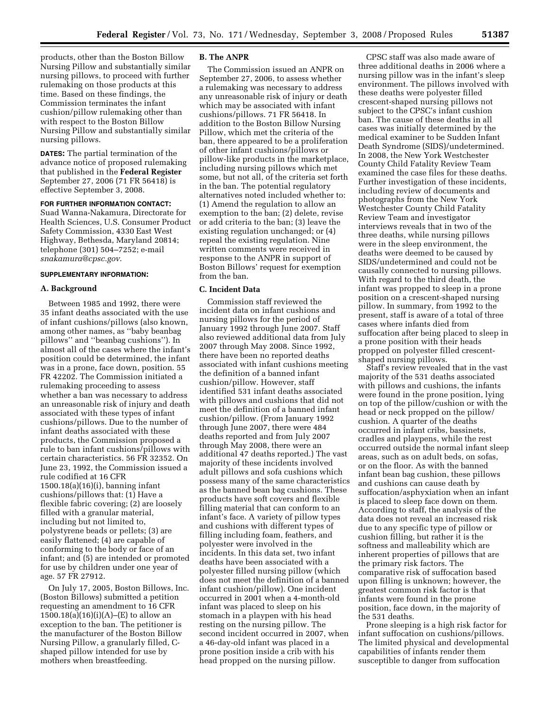products, other than the Boston Billow Nursing Pillow and substantially similar nursing pillows, to proceed with further rulemaking on those products at this time. Based on these findings, the Commission terminates the infant cushion/pillow rulemaking other than with respect to the Boston Billow Nursing Pillow and substantially similar nursing pillows.

**DATES:** The partial termination of the advance notice of proposed rulemaking that published in the **Federal Register**  September 27, 2006 (71 FR 56418) is effective September 3, 2008.

#### **FOR FURTHER INFORMATION CONTACT:**

Suad Wanna-Nakamura, Directorate for Health Sciences, U.S. Consumer Product Safety Commission, 4330 East West Highway, Bethesda, Maryland 20814; telephone (301) 504–7252; e-mail *snakamura@cpsc.gov*.

#### **SUPPLEMENTARY INFORMATION:**

#### **A. Background**

Between 1985 and 1992, there were 35 infant deaths associated with the use of infant cushions/pillows (also known, among other names, as ''baby beanbag pillows'' and ''beanbag cushions''). In almost all of the cases where the infant's position could be determined, the infant was in a prone, face down, position. 55 FR 42202. The Commission initiated a rulemaking proceeding to assess whether a ban was necessary to address an unreasonable risk of injury and death associated with these types of infant cushions/pillows. Due to the number of infant deaths associated with these products, the Commission proposed a rule to ban infant cushions/pillows with certain characteristics. 56 FR 32352. On June 23, 1992, the Commission issued a rule codified at 16 CFR 1500.18(a)(16)(i), banning infant cushions/pillows that: (1) Have a flexible fabric covering; (2) are loosely filled with a granular material, including but not limited to, polystyrene beads or pellets; (3) are easily flattened; (4) are capable of conforming to the body or face of an infant; and (5) are intended or promoted for use by children under one year of age. 57 FR 27912.

On July 17, 2005, Boston Billows, Inc. (Boston Billows) submitted a petition requesting an amendment to 16 CFR  $1500.18(a)(16)(i)(A)$ –(E) to allow an exception to the ban. The petitioner is the manufacturer of the Boston Billow Nursing Pillow, a granularly filled, Cshaped pillow intended for use by mothers when breastfeeding.

#### **B. The ANPR**

The Commission issued an ANPR on September 27, 2006, to assess whether a rulemaking was necessary to address any unreasonable risk of injury or death which may be associated with infant cushions/pillows. 71 FR 56418. In addition to the Boston Billow Nursing Pillow, which met the criteria of the ban, there appeared to be a proliferation of other infant cushions/pillows or pillow-like products in the marketplace, including nursing pillows which met some, but not all, of the criteria set forth in the ban. The potential regulatory alternatives noted included whether to: (1) Amend the regulation to allow an exemption to the ban; (2) delete, revise or add criteria to the ban; (3) leave the existing regulation unchanged; or (4) repeal the existing regulation. Nine written comments were received in response to the ANPR in support of Boston Billows' request for exemption from the ban.

## **C. Incident Data**

Commission staff reviewed the incident data on infant cushions and nursing pillows for the period of January 1992 through June 2007. Staff also reviewed additional data from July 2007 through May 2008. Since 1992, there have been no reported deaths associated with infant cushions meeting the definition of a banned infant cushion/pillow. However, staff identified 531 infant deaths associated with pillows and cushions that did not meet the definition of a banned infant cushion/pillow. (From January 1992 through June 2007, there were 484 deaths reported and from July 2007 through May 2008, there were an additional 47 deaths reported.) The vast majority of these incidents involved adult pillows and sofa cushions which possess many of the same characteristics as the banned bean bag cushions. These products have soft covers and flexible filling material that can conform to an infant's face. A variety of pillow types and cushions with different types of filling including foam, feathers, and polyester were involved in the incidents. In this data set, two infant deaths have been associated with a polyester filled nursing pillow (which does not meet the definition of a banned infant cushion/pillow). One incident occurred in 2001 when a 4-month-old infant was placed to sleep on his stomach in a playpen with his head resting on the nursing pillow. The second incident occurred in 2007, when a 46-day-old infant was placed in a prone position inside a crib with his head propped on the nursing pillow.

CPSC staff was also made aware of three additional deaths in 2006 where a nursing pillow was in the infant's sleep environment. The pillows involved with these deaths were polyester filled crescent-shaped nursing pillows not subject to the CPSC's infant cushion ban. The cause of these deaths in all cases was initially determined by the medical examiner to be Sudden Infant Death Syndrome (SIDS)/undetermined. In 2008, the New York Westchester County Child Fatality Review Team examined the case files for these deaths. Further investigation of these incidents, including review of documents and photographs from the New York Westchester County Child Fatality Review Team and investigator interviews reveals that in two of the three deaths, while nursing pillows were in the sleep environment, the deaths were deemed to be caused by SIDS/undetermined and could not be causally connected to nursing pillows. With regard to the third death, the infant was propped to sleep in a prone position on a crescent-shaped nursing pillow. In summary, from 1992 to the present, staff is aware of a total of three cases where infants died from suffocation after being placed to sleep in a prone position with their heads propped on polyester filled crescentshaped nursing pillows.

Staff's review revealed that in the vast majority of the 531 deaths associated with pillows and cushions, the infants were found in the prone position, lying on top of the pillow/cushion or with the head or neck propped on the pillow/ cushion. A quarter of the deaths occurred in infant cribs, bassinets, cradles and playpens, while the rest occurred outside the normal infant sleep areas, such as on adult beds, on sofas, or on the floor. As with the banned infant bean bag cushion, these pillows and cushions can cause death by suffocation/asphyxiation when an infant is placed to sleep face down on them. According to staff, the analysis of the data does not reveal an increased risk due to any specific type of pillow or cushion filling, but rather it is the softness and malleability which are inherent properties of pillows that are the primary risk factors. The comparative risk of suffocation based upon filling is unknown; however, the greatest common risk factor is that infants were found in the prone position, face down, in the majority of the 531 deaths.

Prone sleeping is a high risk factor for infant suffocation on cushions/pillows. The limited physical and developmental capabilities of infants render them susceptible to danger from suffocation